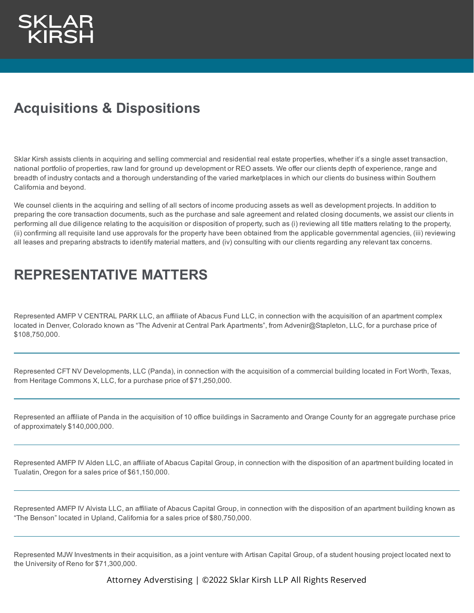# **Acquisitions & Dispositions**

Sklar Kirsh assists clients in acquiring and selling commercial and residential real estate properties, whether it's a single asset transaction, national portfolio of properties, raw land for ground up development or REO assets. We offer our clients depth of experience, range and breadth of industry contacts and a thorough understanding of the varied marketplaces in which our clients do business within Southern California and beyond.

We counsel clients in the acquiring and selling of all sectors of income producing assets as well as development projects. In addition to preparing the core transaction documents, such as the purchase and sale agreement and related closing documents, we assist our clients in performing all due diligence relating to the acquisition or disposition of property, such as (i) reviewing all title matters relating to the property, (ii) confirming all requisite land use approvals for the property have been obtained from the applicable governmental agencies, (iii) reviewing all leases and preparing abstracts to identify material matters, and (iv) consulting with our clients regarding any relevant tax concerns.

## **REPRESENTATIVE MATTERS**

Represented AMFP V CENTRAL PARK LLC, an affiliate of Abacus Fund LLC, in connection with the acquisition of an apartment complex located in Denver, Colorado known as "The Advenir at Central Park Apartments", from Advenir@Stapleton, LLC, for a purchase price of \$108,750,000.

Represented CFT NV Developments, LLC (Panda), in connection with the acquisition of a commercial building located in Fort Worth, Texas, from Heritage Commons X, LLC, for a purchase price of \$71,250,000.

Represented an affiliate of Panda in the acquisition of 10 office buildings in Sacramento and Orange County for an aggregate purchase price of approximately \$140,000,000.

Represented AMFP IV Alden LLC, an affiliate of Abacus Capital Group, in connection with the disposition of an apartment building located in Tualatin, Oregon for a sales price of \$61,150,000.

Represented AMFP IV Alvista LLC, an affiliate of Abacus Capital Group, in connection with the disposition of an apartment building known as "The Benson" located in Upland, California for a sales price of \$80,750,000.

Represented MJW Investments in their acquisition, as a joint venture with Artisan Capital Group, of a student housing project located next to the University of Reno for \$71,300,000.

Attorney Adverstising | ©2022 Sklar Kirsh LLP All Rights Reserved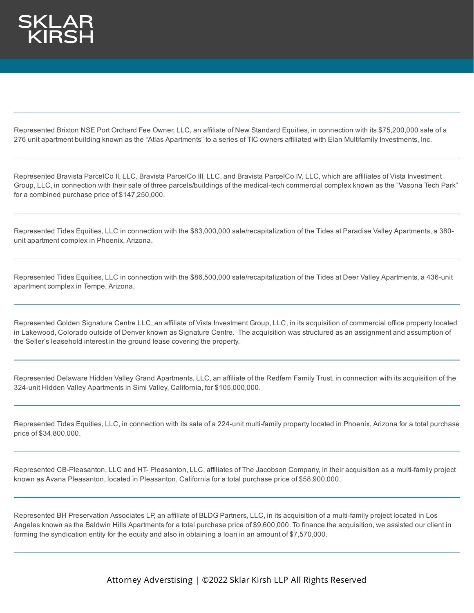Represented Brixton NSE Port Orchard Fee Owner, LLC, an affiliate of New Standard Equities, in connection with its \$75,200,000 sale of a 276 unit apartment building known as the "Atlas Apartments" to a series of TIC owners affiliated with Elan Multifamily Investments, Inc.

Represented Bravista ParcelCo II, LLC, Bravista ParcelCo III, LLC, and Bravista ParcelCo IV, LLC, which are affiliates of Vista Investment Group, LLC, in connection with their sale of three parcels/buildings of the medical-tech commercial complex known as the "Vasona Tech Park" for a combined purchase price of \$147,250,000.

Represented Tides Equities, LLC in connection with the \$83,000,000 sale/recapitalization of the Tides at Paradise Valley Apartments, a 380 unit apartment complex in Phoenix, Arizona.

Represented Tides Equities, LLC in connection with the \$86,500,000 sale/recapitalization of the Tides at Deer Valley Apartments, a 436-unit apartment complex in Tempe, Arizona.

Represented Golden Signature Centre LLC, an affiliate of Vista Investment Group, LLC, in its acquisition of commercial office property located in Lakewood, Colorado outside of Denver known as Signature Centre. The acquisition was structured as an assignment and assumption of the Seller's leasehold interest in the ground lease covering the property.

Represented Delaware Hidden Valley Grand Apartments, LLC, an affiliate of the Redfern Family Trust, in connection with its acquisition of the 324-unit Hidden Valley Apartments in Simi Valley, California, for \$105,000,000.

Represented Tides Equities, LLC, in connection with its sale of a 224-unit multi-family property located in Phoenix, Arizona for a total purchase price of \$34,800,000.

Represented CB-Pleasanton, LLC and HT- Pleasanton, LLC, affiliates of The Jacobson Company, in their acquisition as a multi-family project known as Avana Pleasanton, located in Pleasanton, California for a total purchase price of \$58,900,000.

Represented BH Preservation Associates LP, an affiliate of BLDG Partners, LLC, in its acquisition of a multi-family project located in Los Angeles known as the Baldwin Hills Apartments for a total purchase price of \$9,600,000. To finance the acquisition, we assisted our client in forming the syndication entity for the equity and also in obtaining a loan in an amount of \$7,570,000.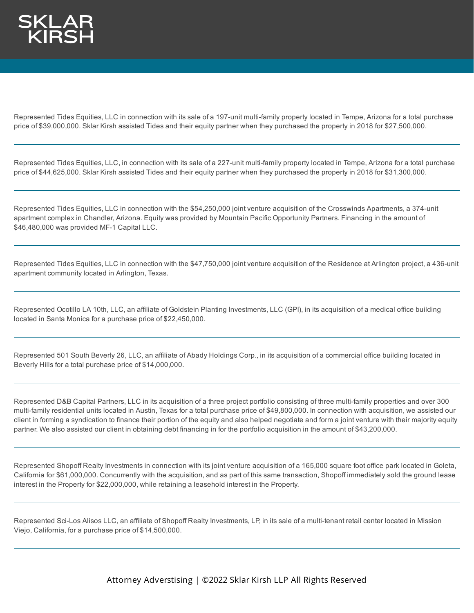Represented Tides Equities, LLC in connection with its sale of a 197-unit multi-family property located in Tempe, Arizona for a total purchase price of \$39,000,000. Sklar Kirsh assisted Tides and their equity partner when they purchased the property in 2018 for \$27,500,000.

Represented Tides Equities, LLC, in connection with its sale of a 227-unit multi-family property located in Tempe, Arizona for a total purchase price of \$44,625,000. Sklar Kirsh assisted Tides and their equity partner when they purchased the property in 2018 for \$31,300,000.

Represented Tides Equities, LLC in connection with the \$54,250,000 joint venture acquisition of the Crosswinds Apartments, a 374-unit apartment complex in Chandler, Arizona. Equity was provided by Mountain Pacific Opportunity Partners. Financing in the amount of \$46,480,000 was provided MF-1 Capital LLC.

Represented Tides Equities, LLC in connection with the \$47,750,000 joint venture acquisition of the Residence at Arlington project, a 436-unit apartment community located in Arlington, Texas.

Represented Ocotillo LA 10th, LLC, an affiliate of Goldstein Planting Investments, LLC (GPI), in its acquisition of a medical office building located in Santa Monica for a purchase price of \$22,450,000.

Represented 501 South Beverly 26, LLC, an affiliate of Abady Holdings Corp., in its acquisition of a commercial office building located in Beverly Hills for a total purchase price of \$14,000,000.

Represented D&B Capital Partners, LLC in its acquisition of a three project portfolio consisting of three multi-family properties and over 300 multi-family residential units located in Austin, Texas for a total purchase price of \$49,800,000. In connection with acquisition, we assisted our client in forming a syndication to finance their portion of the equity and also helped negotiate and form a joint venture with their majority equity partner. We also assisted our client in obtaining debt financing in for the portfolio acquisition in the amount of \$43,200,000.

Represented Shopoff Realty Investments in connection with its joint venture acquisition of a 165,000 square foot office park located in Goleta, California for \$61,000,000. Concurrently with the acquisition, and as part of this same transaction, Shopoff immediately sold the ground lease interest in the Property for \$22,000,000, while retaining a leasehold interest in the Property.

Represented Sci-Los Alisos LLC, an affiliate of Shopoff Realty Investments, LP, in its sale of a multi-tenant retail center located in Mission Viejo, California, for a purchase price of \$14,500,000.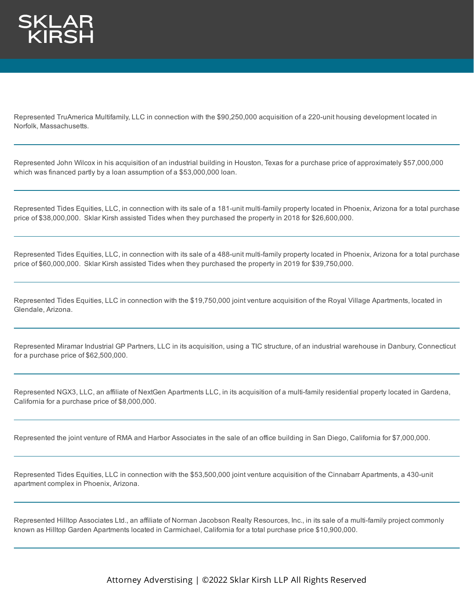

Represented TruAmerica Multifamily, LLC in connection with the \$90,250,000 acquisition of a 220-unit housing development located in Norfolk, Massachusetts.

Represented John Wilcox in his acquisition of an industrial building in Houston, Texas for a purchase price of approximately \$57,000,000 which was financed partly by a loan assumption of a \$53,000,000 loan.

Represented Tides Equities, LLC, in connection with its sale of a 181-unit multi-family property located in Phoenix, Arizona for a total purchase price of \$38,000,000. Sklar Kirsh assisted Tides when they purchased the property in 2018 for \$26,600,000.

Represented Tides Equities, LLC, in connection with its sale of a 488-unit multi-family property located in Phoenix, Arizona for a total purchase price of \$60,000,000. Sklar Kirsh assisted Tides when they purchased the property in 2019 for \$39,750,000.

Represented Tides Equities, LLC in connection with the \$19,750,000 joint venture acquisition of the Royal Village Apartments, located in Glendale, Arizona.

Represented Miramar Industrial GP Partners, LLC in its acquisition, using a TIC structure, of an industrial warehouse in Danbury, Connecticut for a purchase price of \$62,500,000.

Represented NGX3, LLC, an affiliate of NextGen Apartments LLC, in its acquisition of a multi-family residential property located in Gardena, California for a purchase price of \$8,000,000.

Represented the joint venture of RMA and Harbor Associates in the sale of an office building in San Diego, California for \$7,000,000.

Represented Tides Equities, LLC in connection with the \$53,500,000 joint venture acquisition of the Cinnabarr Apartments, a 430-unit apartment complex in Phoenix, Arizona.

Represented Hilltop Associates Ltd., an affiliate of Norman Jacobson Realty Resources, Inc., in its sale of a multi-family project commonly known as Hilltop Garden Apartments located in Carmichael, California for a total purchase price \$10,900,000.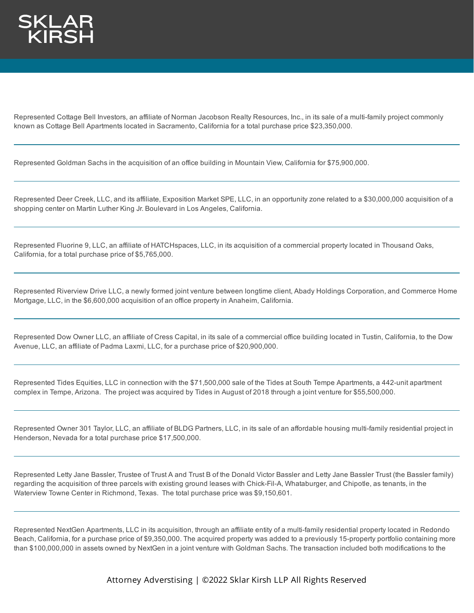

Represented Cottage Bell Investors, an affiliate of Norman Jacobson Realty Resources, Inc., in its sale of a multi-family project commonly known as Cottage Bell Apartments located in Sacramento, California for a total purchase price \$23,350,000.

Represented Goldman Sachs in the acquisition of an office building in Mountain View, California for \$75,900,000.

Represented Deer Creek, LLC, and its affiliate, Exposition Market SPE, LLC, in an opportunity zone related to a \$30,000,000 acquisition of a shopping center on Martin Luther King Jr. Boulevard in Los Angeles, California.

Represented Fluorine 9, LLC, an affiliate of HATCHspaces, LLC, in its acquisition of a commercial property located in Thousand Oaks, California, for a total purchase price of \$5,765,000.

Represented Riverview Drive LLC, a newly formed joint venture between longtime client, Abady Holdings Corporation, and Commerce Home Mortgage, LLC, in the \$6,600,000 acquisition of an office property in Anaheim, California.

Represented Dow Owner LLC, an affiliate of Cress Capital, in its sale of a commercial office building located in Tustin, California, to the Dow Avenue, LLC, an affiliate of Padma Laxmi, LLC, for a purchase price of \$20,900,000.

Represented Tides Equities, LLC in connection with the \$71,500,000 sale of the Tides at South Tempe Apartments, a 442-unit apartment complex in Tempe, Arizona. The project was acquired by Tides in August of 2018 through a joint venture for \$55,500,000.

Represented Owner 301 Taylor, LLC, an affiliate of BLDG Partners, LLC, in its sale of an affordable housing multi-family residential project in Henderson, Nevada for a total purchase price \$17,500,000.

Represented Letty Jane Bassler, Trustee of Trust A and Trust B of the Donald Victor Bassler and Letty Jane Bassler Trust (the Bassler family) regarding the acquisition of three parcels with existing ground leases with Chick-Fil-A, Whataburger, and Chipotle, as tenants, in the Waterview Towne Center in Richmond, Texas. The total purchase price was \$9,150,601.

Represented NextGen Apartments, LLC in its acquisition, through an affiliate entity of a multi-family residential property located in Redondo Beach, California, for a purchase price of \$9,350,000. The acquired property was added to a previously 15-property portfolio containing more than \$100,000,000 in assets owned by NextGen in a joint venture with Goldman Sachs. The transaction included both modifications to the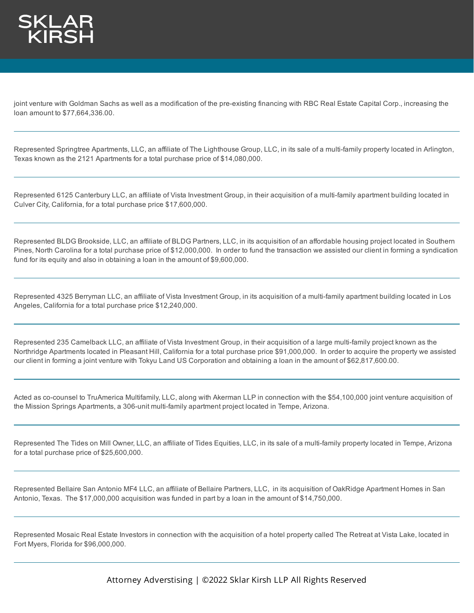

joint venture with Goldman Sachs as well as a modification of the pre-existing financing with RBC Real Estate Capital Corp., increasing the loan amount to \$77,664,336.00.

Represented Springtree Apartments, LLC, an affiliate of The Lighthouse Group, LLC, in its sale of a multi-family property located in Arlington, Texas known as the 2121 Apartments for a total purchase price of \$14,080,000.

Represented 6125 Canterbury LLC, an affiliate of Vista Investment Group, in their acquisition of a multi-family apartment building located in Culver City, California, for a total purchase price \$17,600,000.

Represented BLDG Brookside, LLC, an affiliate of BLDG Partners, LLC, in its acquisition of an affordable housing project located in Southern Pines, North Carolina for a total purchase price of \$12,000,000. In order to fund the transaction we assisted our client in forming a syndication fund for its equity and also in obtaining a loan in the amount of \$9,600,000.

Represented 4325 Berryman LLC, an affiliate of Vista Investment Group, in its acquisition of a multi-family apartment building located in Los Angeles, California for a total purchase price \$12,240,000.

Represented 235 Camelback LLC, an affiliate of Vista Investment Group, in their acquisition of a large multi-family project known as the Northridge Apartments located in Pleasant Hill, California for a total purchase price \$91,000,000. In order to acquire the property we assisted our client in forming a joint venture with Tokyu Land US Corporation and obtaining a loan in the amount of \$62,817,600.00.

Acted as co-counsel to TruAmerica Multifamily, LLC, along with Akerman LLP in connection with the \$54,100,000 joint venture acquisition of the Mission Springs Apartments, a 306-unit multi-family apartment project located in Tempe, Arizona.

Represented The Tides on Mill Owner, LLC, an affiliate of Tides Equities, LLC, in its sale of a multi-family property located in Tempe, Arizona for a total purchase price of \$25,600,000.

Represented Bellaire San Antonio MF4 LLC, an affiliate of Bellaire Partners, LLC, in its acquisition of OakRidge Apartment Homes in San Antonio, Texas. The \$17,000,000 acquisition was funded in part by a loan in the amount of \$14,750,000.

Represented Mosaic Real Estate Investors in connection with the acquisition of a hotel property called The Retreat at Vista Lake, located in Fort Myers, Florida for \$96,000,000.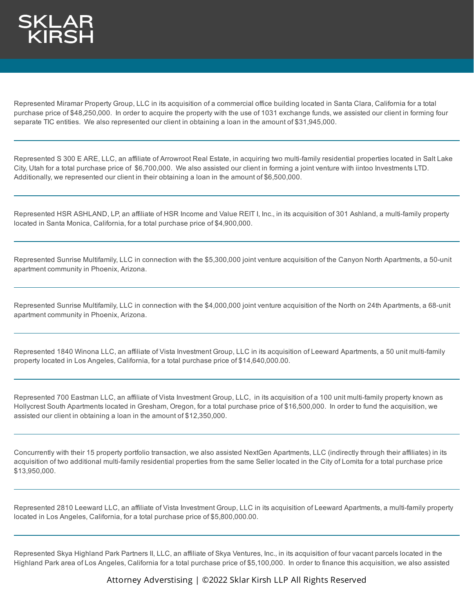

Represented Miramar Property Group, LLC in its acquisition of a commercial office building located in Santa Clara, California for a total purchase price of \$48,250,000. In order to acquire the property with the use of 1031 exchange funds, we assisted our client in forming four separate TIC entities. We also represented our client in obtaining a loan in the amount of \$31,945,000.

Represented S 300 E ARE, LLC, an affiliate of Arrowroot Real Estate, in acquiring two multi-family residential properties located in Salt Lake City, Utah for a total purchase price of \$6,700,000. We also assisted our client in forming a joint venture with iintoo Investments LTD. Additionally, we represented our client in their obtaining a loan in the amount of \$6,500,000.

Represented HSR ASHLAND, LP, an affiliate of HSR Income and Value REIT I, Inc., in its acquisition of 301 Ashland, a multi-family property located in Santa Monica, California, for a total purchase price of \$4,900,000.

Represented Sunrise Multifamily, LLC in connection with the \$5,300,000 joint venture acquisition of the Canyon North Apartments, a 50-unit apartment community in Phoenix, Arizona.

Represented Sunrise Multifamily, LLC in connection with the \$4,000,000 joint venture acquisition of the North on 24th Apartments, a 68-unit apartment community in Phoenix, Arizona.

Represented 1840 Winona LLC, an affiliate of Vista Investment Group, LLC in its acquisition of Leeward Apartments, a 50 unit multi-family property located in Los Angeles, California, for a total purchase price of \$14,640,000.00.

Represented 700 Eastman LLC, an affiliate of Vista Investment Group, LLC, in its acquisition of a 100 unit multi-family property known as Hollycrest South Apartments located in Gresham, Oregon, for a total purchase price of \$16,500,000. In order to fund the acquisition, we assisted our client in obtaining a loan in the amount of \$12,350,000.

Concurrently with their 15 property portfolio transaction, we also assisted NextGen Apartments, LLC (indirectly through their affiliates) in its acquisition of two additional multi-family residential properties from the same Seller located in the City of Lomita for a total purchase price \$13,950,000.

Represented 2810 Leeward LLC, an affiliate of Vista Investment Group, LLC in its acquisition of Leeward Apartments, a multi-family property located in Los Angeles, California, for a total purchase price of \$5,800,000.00.

Represented Skya Highland Park Partners II, LLC, an affiliate of Skya Ventures, Inc., in its acquisition of four vacant parcels located in the Highland Park area of Los Angeles, California for a total purchase price of \$5,100,000. In order to finance this acquisition, we also assisted

Attorney Adverstising | ©2022 Sklar Kirsh LLP All Rights Reserved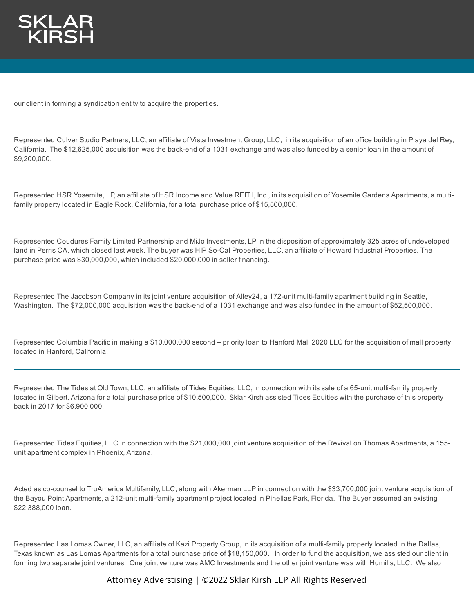

our client in forming a syndication entity to acquire the properties.

Represented Culver Studio Partners, LLC, an affiliate of Vista Investment Group, LLC, in its acquisition of an office building in Playa del Rey, California. The \$12,625,000 acquisition was the back-end of a 1031 exchange and was also funded by a senior loan in the amount of \$9,200,000.

Represented HSR Yosemite, LP, an affiliate of HSR Income and Value REIT I, Inc., in its acquisition of Yosemite Gardens Apartments, a multifamily property located in Eagle Rock, California, for a total purchase price of \$15,500,000.

Represented Coudures Family Limited Partnership and MiJo Investments, LP in the disposition of approximately 325 acres of undeveloped land in Perris CA, which closed last week. The buyer was HIP So-Cal Properties, LLC, an affiliate of Howard Industrial Properties. The purchase price was \$30,000,000, which included \$20,000,000 in seller financing.

Represented The Jacobson Company in its joint venture acquisition of Alley24, a 172-unit multi-family apartment building in Seattle, Washington. The \$72,000,000 acquisition was the back-end of a 1031 exchange and was also funded in the amount of \$52,500,000.

Represented Columbia Pacific in making a \$10,000,000 second – priority loan to Hanford Mall 2020 LLC for the acquisition of mall property located in Hanford, California.

Represented The Tides at Old Town, LLC, an affiliate of Tides Equities, LLC, in connection with its sale of a 65-unit multi-family property located in Gilbert, Arizona for a total purchase price of \$10,500,000. Sklar Kirsh assisted Tides Equities with the purchase of this property back in 2017 for \$6,900,000.

Represented Tides Equities, LLC in connection with the \$21,000,000 joint venture acquisition of the Revival on Thomas Apartments, a 155 unit apartment complex in Phoenix, Arizona.

Acted as co-counsel to TruAmerica Multifamily, LLC, along with Akerman LLP in connection with the \$33,700,000 joint venture acquisition of the Bayou Point Apartments, a 212-unit multi-family apartment project located in Pinellas Park, Florida. The Buyer assumed an existing \$22,388,000 loan.

Represented Las Lomas Owner, LLC, an affiliate of Kazi Property Group, in its acquisition of a multi-family property located in the Dallas, Texas known as Las Lomas Apartments for a total purchase price of \$18,150,000. In order to fund the acquisition, we assisted our client in forming two separate joint ventures. One joint venture was AMC Investments and the other joint venture was with Humilis, LLC. We also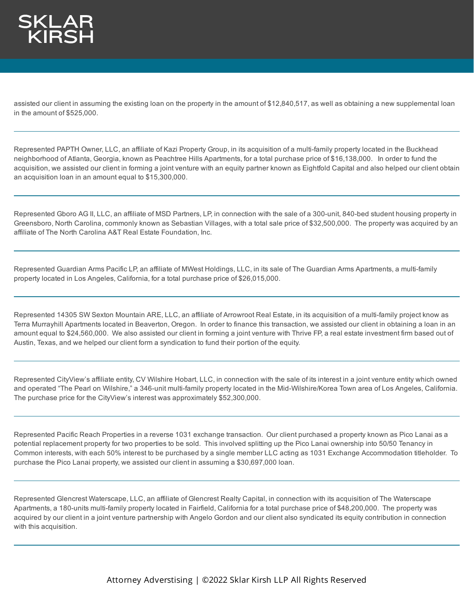

assisted our client in assuming the existing loan on the property in the amount of \$12,840,517, as well as obtaining a new supplemental loan in the amount of \$525,000.

Represented PAPTH Owner, LLC, an affiliate of Kazi Property Group, in its acquisition of a multi-family property located in the Buckhead neighborhood of Atlanta, Georgia, known as Peachtree Hills Apartments, for a total purchase price of \$16,138,000. In order to fund the acquisition, we assisted our client in forming a joint venture with an equity partner known as Eightfold Capital and also helped our client obtain an acquisition loan in an amount equal to \$15,300,000.

Represented Gboro AG II, LLC, an affiliate of MSD Partners, LP, in connection with the sale of a 300-unit, 840-bed student housing property in Greensboro, North Carolina, commonly known as Sebastian Villages, with a total sale price of \$32,500,000. The property was acquired by an affiliate of The North Carolina A&T Real Estate Foundation, Inc.

Represented Guardian Arms Pacific LP, an affiliate of MWest Holdings, LLC, in its sale of The Guardian Arms Apartments, a multi-family property located in Los Angeles, California, for a total purchase price of \$26,015,000.

Represented 14305 SW Sexton Mountain ARE, LLC, an affiliate of Arrowroot Real Estate, in its acquisition of a multi-family project know as Terra Murrayhill Apartments located in Beaverton, Oregon. In order to finance this transaction, we assisted our client in obtaining a loan in an amount equal to \$24,560,000. We also assisted our client in forming a joint venture with Thrive FP, a real estate investment firm based out of Austin, Texas, and we helped our client form a syndication to fund their portion of the equity.

Represented CityView's affiliate entity, CV Wilshire Hobart, LLC, in connection with the sale of its interest in a joint venture entity which owned and operated "The Pearl on Wilshire," a 346-unit multi-family property located in the Mid-Wilshire/Korea Town area of Los Angeles, California. The purchase price for the CityView's interest was approximately \$52,300,000.

Represented Pacific Reach Properties in a reverse 1031 exchange transaction. Our client purchased a property known as Pico Lanai as a potential replacement property for two properties to be sold. This involved splitting up the Pico Lanai ownership into 50/50 Tenancy in Common interests, with each 50% interest to be purchased by a single member LLC acting as 1031 Exchange Accommodation titleholder. To purchase the Pico Lanai property, we assisted our client in assuming a \$30,697,000 loan.

Represented Glencrest Waterscape, LLC, an affiliate of Glencrest Realty Capital, in connection with its acquisition of The Waterscape Apartments, a 180-units multi-family property located in Fairfield, California for a total purchase price of \$48,200,000. The property was acquired by our client in a joint venture partnership with Angelo Gordon and our client also syndicated its equity contribution in connection with this acquisition.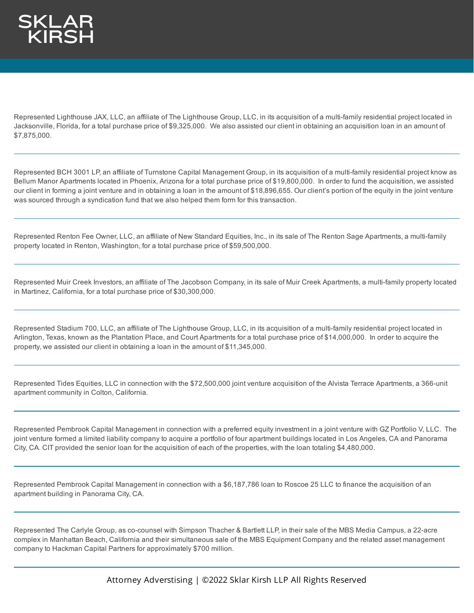Represented Lighthouse JAX, LLC, an affiliate of The Lighthouse Group, LLC, in its acquisition of a multi-family residential project located in Jacksonville, Florida, for a total purchase price of \$9,325,000. We also assisted our client in obtaining an acquisition loan in an amount of \$7,875,000.

Represented BCH 3001 LP, an affiliate of Turnstone Capital Management Group, in its acquisition of a multi-family residential project know as Bellum Manor Apartments located in Phoenix, Arizona for a total purchase price of \$19,800,000. In order to fund the acquisition, we assisted our client in forming a joint venture and in obtaining a loan in the amount of \$18,896,655. Our client's portion of the equity in the joint venture was sourced through a syndication fund that we also helped them form for this transaction.

Represented Renton Fee Owner, LLC, an affiliate of New Standard Equities, Inc., in its sale of The Renton Sage Apartments, a multi-family property located in Renton, Washington, for a total purchase price of \$59,500,000.

Represented Muir Creek Investors, an affiliate of The Jacobson Company, in its sale of Muir Creek Apartments, a multi-family property located in Martinez, California, for a total purchase price of \$30,300,000.

Represented Stadium 700, LLC, an affiliate of The Lighthouse Group, LLC, in its acquisition of a multi-family residential project located in Arlington, Texas, known as the Plantation Place, and Court Apartments for a total purchase price of \$14,000,000. In order to acquire the property, we assisted our client in obtaining a loan in the amount of \$11,345,000.

Represented Tides Equities, LLC in connection with the \$72,500,000 joint venture acquisition of the Alvista Terrace Apartments, a 366-unit apartment community in Colton, California.

Represented Pembrook Capital Management in connection with a preferred equity investment in a joint venture with GZ Portfolio V, LLC. The joint venture formed a limited liability company to acquire a portfolio of four apartment buildings located in Los Angeles, CA and Panorama City, CA. CIT provided the senior loan for the acquisition of each of the properties, with the loan totaling \$4,480,000.

Represented Pembrook Capital Management in connection with a \$6,187,786 loan to Roscoe 25 LLC to finance the acquisition of an apartment building in Panorama City, CA.

Represented The Carlyle Group, as co-counsel with Simpson Thacher & Bartlett LLP, in their sale of the MBS Media Campus, a 22-acre complex in Manhattan Beach, California and their simultaneous sale of the MBS Equipment Company and the related asset management company to Hackman Capital Partners for approximately \$700 million.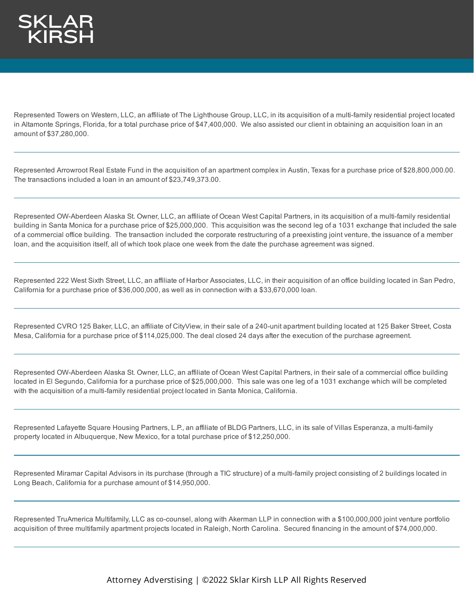Represented Towers on Western, LLC, an affiliate of The Lighthouse Group, LLC, in its acquisition of a multi-family residential project located in Altamonte Springs, Florida, for a total purchase price of \$47,400,000. We also assisted our client in obtaining an acquisition loan in an amount of \$37,280,000.

Represented Arrowroot Real Estate Fund in the acquisition of an apartment complex in Austin, Texas for a purchase price of \$28,800,000.00. The transactions included a loan in an amount of \$23,749,373.00.

Represented OW-Aberdeen Alaska St. Owner, LLC, an affiliate of Ocean West Capital Partners, in its acquisition of a multi-family residential building in Santa Monica for a purchase price of \$25,000,000. This acquisition was the second leg of a 1031 exchange that included the sale of a commercial office building. The transaction included the corporate restructuring of a preexisting joint venture, the issuance of a member loan, and the acquisition itself, all of which took place one week from the date the purchase agreement was signed.

Represented 222 West Sixth Street, LLC, an affiliate of Harbor Associates, LLC, in their acquisition of an office building located in San Pedro, California for a purchase price of \$36,000,000, as well as in connection with a \$33,670,000 loan.

Represented CVRO 125 Baker, LLC, an affiliate of CityView, in their sale of a 240-unit apartment building located at 125 Baker Street, Costa Mesa, California for a purchase price of \$114,025,000. The deal closed 24 days after the execution of the purchase agreement.

Represented OW-Aberdeen Alaska St. Owner, LLC, an affiliate of Ocean West Capital Partners, in their sale of a commercial office building located in El Segundo, California for a purchase price of \$25,000,000. This sale was one leg of a 1031 exchange which will be completed with the acquisition of a multi-family residential project located in Santa Monica, California.

Represented Lafayette Square Housing Partners, L.P., an affiliate of BLDG Partners, LLC, in its sale of Villas Esperanza, a multi-family property located in Albuquerque, New Mexico, for a total purchase price of \$12,250,000.

Represented Miramar Capital Advisors in its purchase (through a TIC structure) of a multi-family project consisting of 2 buildings located in Long Beach, California for a purchase amount of \$14,950,000.

Represented TruAmerica Multifamily, LLC as co-counsel, along with Akerman LLP in connection with a \$100,000,000 joint venture portfolio acquisition of three multifamily apartment projects located in Raleigh, North Carolina. Secured financing in the amount of \$74,000,000.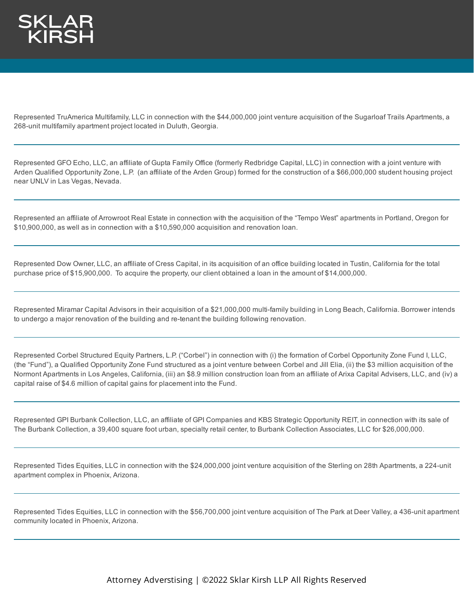Represented TruAmerica Multifamily, LLC in connection with the \$44,000,000 joint venture acquisition of the Sugarloaf Trails Apartments, a 268-unit multifamily apartment project located in Duluth, Georgia.

Represented GFO Echo, LLC, an affiliate of Gupta Family Office (formerly Redbridge Capital, LLC) in connection with a joint venture with Arden Qualified Opportunity Zone, L.P. (an affiliate of the Arden Group) formed for the construction of a \$66,000,000 student housing project near UNLV in Las Vegas, Nevada.

Represented an affiliate of Arrowroot Real Estate in connection with the acquisition of the "Tempo West" apartments in Portland, Oregon for \$10,900,000, as well as in connection with a \$10,590,000 acquisition and renovation loan.

Represented Dow Owner, LLC, an affiliate of Cress Capital, in its acquisition of an office building located in Tustin, California for the total purchase price of \$15,900,000. To acquire the property, our client obtained a loan in the amount of \$14,000,000.

Represented Miramar Capital Advisors in their acquisition of a \$21,000,000 multi-family building in Long Beach, California. Borrower intends to undergo a major renovation of the building and re-tenant the building following renovation.

Represented Corbel Structured Equity Partners, L.P. ("Corbel") in connection with (i) the formation of Corbel Opportunity Zone Fund I, LLC, (the "Fund"), a Qualified Opportunity Zone Fund structured as a joint venture between Corbel and Jill Elia, (ii) the \$3 million acquisition of the Normont Apartments in Los Angeles, California, (iii) an \$8.9 million construction loan from an affiliate of Arixa Capital Advisers, LLC, and (iv) a capital raise of \$4.6 million of capital gains for placement into the Fund.

Represented GPI Burbank Collection, LLC, an affiliate of GPI Companies and KBS Strategic Opportunity REIT, in connection with its sale of The Burbank Collection, a 39,400 square foot urban, specialty retail center, to Burbank Collection Associates, LLC for \$26,000,000.

Represented Tides Equities, LLC in connection with the \$24,000,000 joint venture acquisition of the Sterling on 28th Apartments, a 224-unit apartment complex in Phoenix, Arizona.

Represented Tides Equities, LLC in connection with the \$56,700,000 joint venture acquisition of The Park at Deer Valley, a 436-unit apartment community located in Phoenix, Arizona.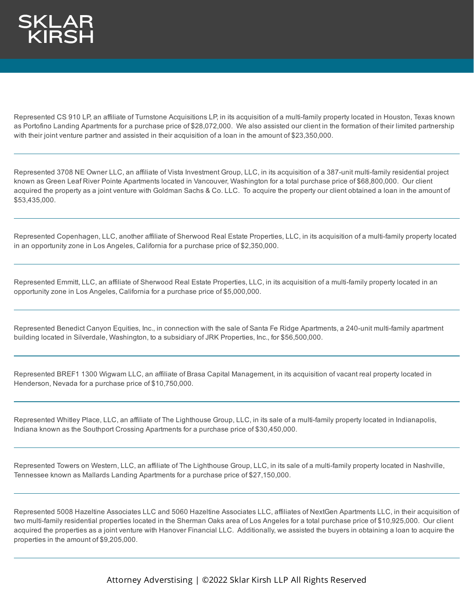Represented CS 910 LP, an affiliate of Turnstone Acquisitions LP, in its acquisition of a multi-family property located in Houston, Texas known as Portofino Landing Apartments for a purchase price of \$28,072,000. We also assisted our client in the formation of their limited partnership with their joint venture partner and assisted in their acquisition of a loan in the amount of \$23,350,000.

Represented 3708 NE Owner LLC, an affiliate of Vista Investment Group, LLC, in its acquisition of a 387-unit multi-family residential project known as Green Leaf River Pointe Apartments located in Vancouver, Washington for a total purchase price of \$68,800,000. Our client acquired the property as a joint venture with Goldman Sachs & Co. LLC. To acquire the property our client obtained a loan in the amount of \$53,435,000.

Represented Copenhagen, LLC, another affiliate of Sherwood Real Estate Properties, LLC, in its acquisition of a multi-family property located in an opportunity zone in Los Angeles, California for a purchase price of \$2,350,000.

Represented Emmitt, LLC, an affiliate of Sherwood Real Estate Properties, LLC, in its acquisition of a multi-family property located in an opportunity zone in Los Angeles, California for a purchase price of \$5,000,000.

Represented Benedict Canyon Equities, Inc., in connection with the sale of Santa Fe Ridge Apartments, a 240-unit multi-family apartment building located in Silverdale, Washington, to a subsidiary of JRK Properties, Inc., for \$56,500,000.

Represented BREF1 1300 Wigwam LLC, an affiliate of Brasa Capital Management, in its acquisition of vacant real property located in Henderson, Nevada for a purchase price of \$10,750,000.

Represented Whitley Place, LLC, an affiliate of The Lighthouse Group, LLC, in its sale of a multi-family property located in Indianapolis, Indiana known as the Southport Crossing Apartments for a purchase price of \$30,450,000.

Represented Towers on Western, LLC, an affiliate of The Lighthouse Group, LLC, in its sale of a multi-family property located in Nashville, Tennessee known as Mallards Landing Apartments for a purchase price of \$27,150,000.

Represented 5008 Hazeltine Associates LLC and 5060 Hazeltine Associates LLC, affiliates of NextGen Apartments LLC, in their acquisition of two multi-family residential properties located in the Sherman Oaks area of Los Angeles for a total purchase price of \$10,925,000. Our client acquired the properties as a joint venture with Hanover Financial LLC. Additionally, we assisted the buyers in obtaining a loan to acquire the properties in the amount of \$9,205,000.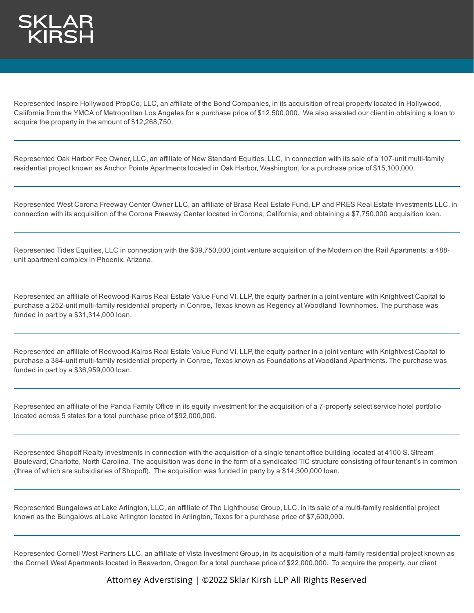

Represented Inspire Hollywood PropCo, LLC, an affiliate of the Bond Companies, in its acquisition of real property located in Hollywood, California from the YMCA of Metropolitan Los Angeles for a purchase price of \$12,500,000. We also assisted our client in obtaining a loan to acquire the property in the amount of \$12,268,750.

Represented Oak Harbor Fee Owner, LLC, an affiliate of New Standard Equities, LLC, in connection with its sale of a 107-unit multi-family residential project known as Anchor Pointe Apartments located in Oak Harbor, Washington, for a purchase price of \$15,100,000.

Represented West Corona Freeway Center Owner LLC, an affiliate of Brasa Real Estate Fund, LP and PRES Real Estate Investments LLC, in connection with its acquisition of the Corona Freeway Center located in Corona, California, and obtaining a \$7,750,000 acquisition loan.

Represented Tides Equities, LLC in connection with the \$39,750,000 joint venture acquisition of the Modern on the Rail Apartments, a 488 unit apartment complex in Phoenix, Arizona.

Represented an affiliate of Redwood-Kairos Real Estate Value Fund VI, LLP, the equity partner in a joint venture with Knightvest Capital to purchase a 252-unit multi-family residential property in Conroe, Texas known as Regency at Woodland Townhomes. The purchase was funded in part by a \$31,314,000 loan.

Represented an affiliate of Redwood-Kairos Real Estate Value Fund VI, LLP, the equity partner in a joint venture with Knightvest Capital to purchase a 384-unit multi-family residential property in Conroe, Texas known as Foundations at Woodland Apartments. The purchase was funded in part by a \$36,959,000 loan.

Represented an affiliate of the Panda Family Office in its equity investment for the acquisition of a 7-property select service hotel portfolio located across 5 states for a total purchase price of \$92,000,000.

Represented Shopoff Realty Investments in connection with the acquisition of a single tenant office building located at 4100 S. Stream Boulevard, Charlotte, North Carolina. The acquisition was done in the form of a syndicated TIC structure consisting of four tenant's in common (three of which are subsidiaries of Shopoff). The acquisition was funded in party by a \$14,300,000 loan.

Represented Bungalows at Lake Arlington, LLC, an affiliate of The Lighthouse Group, LLC, in its sale of a multi-family residential project known as the Bungalows at Lake Arlington located in Arlington, Texas for a purchase price of \$7,600,000.

Represented Cornell West Partners LLC, an affiliate of Vista Investment Group, in its acquisition of a multi-family residential project known as the Cornell West Apartments located in Beaverton, Oregon for a total purchase price of \$22,000,000. To acquire the property, our client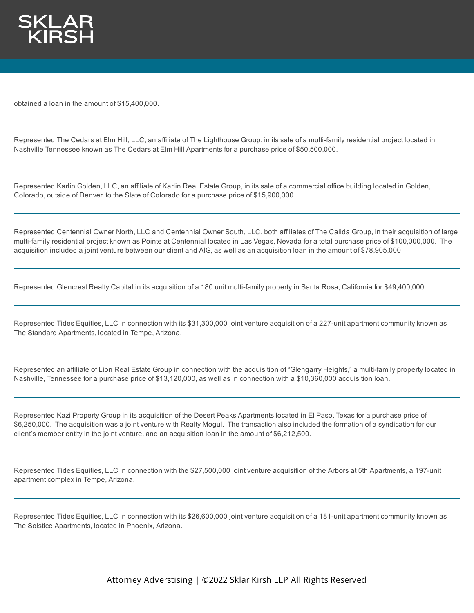

obtained a loan in the amount of \$15,400,000.

Represented The Cedars at Elm Hill, LLC, an affiliate of The Lighthouse Group, in its sale of a multi-family residential project located in Nashville Tennessee known as The Cedars at Elm Hill Apartments for a purchase price of \$50,500,000.

Represented Karlin Golden, LLC, an affiliate of Karlin Real Estate Group, in its sale of a commercial office building located in Golden, Colorado, outside of Denver, to the State of Colorado for a purchase price of \$15,900,000.

Represented Centennial Owner North, LLC and Centennial Owner South, LLC, both affiliates of The Calida Group, in their acquisition of large multi-family residential project known as Pointe at Centennial located in Las Vegas, Nevada for a total purchase price of \$100,000,000. The acquisition included a joint venture between our client and AIG, as well as an acquisition loan in the amount of \$78,905,000.

Represented Glencrest Realty Capital in its acquisition of a 180 unit multi-family property in Santa Rosa, California for \$49,400,000.

Represented Tides Equities, LLC in connection with its \$31,300,000 joint venture acquisition of a 227-unit apartment community known as The Standard Apartments, located in Tempe, Arizona.

Represented an affiliate of Lion Real Estate Group in connection with the acquisition of "Glengarry Heights," a multi-family property located in Nashville, Tennessee for a purchase price of \$13,120,000, as well as in connection with a \$10,360,000 acquisition loan.

Represented Kazi Property Group in its acquisition of the Desert Peaks Apartments located in El Paso, Texas for a purchase price of \$6,250,000. The acquisition was a joint venture with Realty Mogul. The transaction also included the formation of a syndication for our client's member entity in the joint venture, and an acquisition loan in the amount of \$6,212,500.

Represented Tides Equities, LLC in connection with the \$27,500,000 joint venture acquisition of the Arbors at 5th Apartments, a 197-unit apartment complex in Tempe, Arizona.

Represented Tides Equities, LLC in connection with its \$26,600,000 joint venture acquisition of a 181-unit apartment community known as The Solstice Apartments, located in Phoenix, Arizona.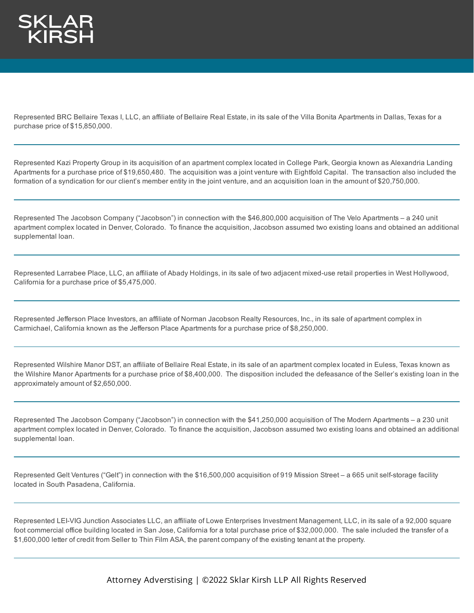

Represented BRC Bellaire Texas I, LLC, an affiliate of Bellaire Real Estate, in its sale of the Villa Bonita Apartments in Dallas, Texas for a purchase price of \$15,850,000.

Represented Kazi Property Group in its acquisition of an apartment complex located in College Park, Georgia known as Alexandria Landing Apartments for a purchase price of \$19,650,480. The acquisition was a joint venture with Eightfold Capital. The transaction also included the formation of a syndication for our client's member entity in the joint venture, and an acquisition loan in the amount of \$20,750,000.

Represented The Jacobson Company ("Jacobson") in connection with the \$46,800,000 acquisition of The Velo Apartments – a 240 unit apartment complex located in Denver, Colorado. To finance the acquisition, Jacobson assumed two existing loans and obtained an additional supplemental loan.

Represented Larrabee Place, LLC, an affiliate of Abady Holdings, in its sale of two adjacent mixed-use retail properties in West Hollywood, California for a purchase price of \$5,475,000.

Represented Jefferson Place Investors, an affiliate of Norman Jacobson Realty Resources, Inc., in its sale of apartment complex in Carmichael, California known as the Jefferson Place Apartments for a purchase price of \$8,250,000.

Represented Wilshire Manor DST, an affiliate of Bellaire Real Estate, in its sale of an apartment complex located in Euless, Texas known as the Wilshire Manor Apartments for a purchase price of \$8,400,000. The disposition included the defeasance of the Seller's existing loan in the approximately amount of \$2,650,000.

Represented The Jacobson Company ("Jacobson") in connection with the \$41,250,000 acquisition of The Modern Apartments – a 230 unit apartment complex located in Denver, Colorado. To finance the acquisition, Jacobson assumed two existing loans and obtained an additional supplemental loan.

Represented Gelt Ventures ("Gelt") in connection with the \$16,500,000 acquisition of 919 Mission Street – a 665 unit self-storage facility located in South Pasadena, California.

Represented LEI-VIG Junction Associates LLC, an affiliate of Lowe Enterprises Investment Management, LLC, in its sale of a 92,000 square foot commercial office building located in San Jose, California for a total purchase price of \$32,000,000. The sale included the transfer of a \$1,600,000 letter of credit from Seller to Thin Film ASA, the parent company of the existing tenant at the property.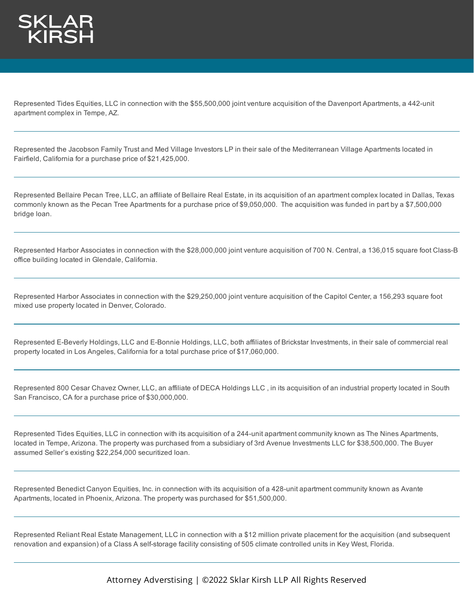

Represented Tides Equities, LLC in connection with the \$55,500,000 joint venture acquisition of the Davenport Apartments, a 442-unit apartment complex in Tempe, AZ.

Represented the Jacobson Family Trust and Med Village Investors LP in their sale of the Mediterranean Village Apartments located in Fairfield, California for a purchase price of \$21,425,000.

Represented Bellaire Pecan Tree, LLC, an affiliate of Bellaire Real Estate, in its acquisition of an apartment complex located in Dallas, Texas commonly known as the Pecan Tree Apartments for a purchase price of \$9,050,000. The acquisition was funded in part by a \$7,500,000 bridge loan.

Represented Harbor Associates in connection with the \$28,000,000 joint venture acquisition of 700 N. Central, a 136,015 square foot Class-B office building located in Glendale, California.

Represented Harbor Associates in connection with the \$29,250,000 joint venture acquisition of the Capitol Center, a 156,293 square foot mixed use property located in Denver, Colorado.

Represented E-Beverly Holdings, LLC and E-Bonnie Holdings, LLC, both affiliates of Brickstar Investments, in their sale of commercial real property located in Los Angeles, California for a total purchase price of \$17,060,000.

Represented 800 Cesar Chavez Owner, LLC, an affiliate of DECA Holdings LLC , in its acquisition of an industrial property located in South San Francisco, CA for a purchase price of \$30,000,000.

Represented Tides Equities, LLC in connection with its acquisition of a 244-unit apartment community known as The Nines Apartments, located in Tempe, Arizona. The property was purchased from a subsidiary of 3rd Avenue Investments LLC for \$38,500,000. The Buyer assumed Seller's existing \$22,254,000 securitized loan.

Represented Benedict Canyon Equities, Inc. in connection with its acquisition of a 428-unit apartment community known as Avante Apartments, located in Phoenix, Arizona. The property was purchased for \$51,500,000.

Represented Reliant Real Estate Management, LLC in connection with a \$12 million private placement for the acquisition (and subsequent renovation and expansion) of a Class A self-storage facility consisting of 505 climate controlled units in Key West, Florida.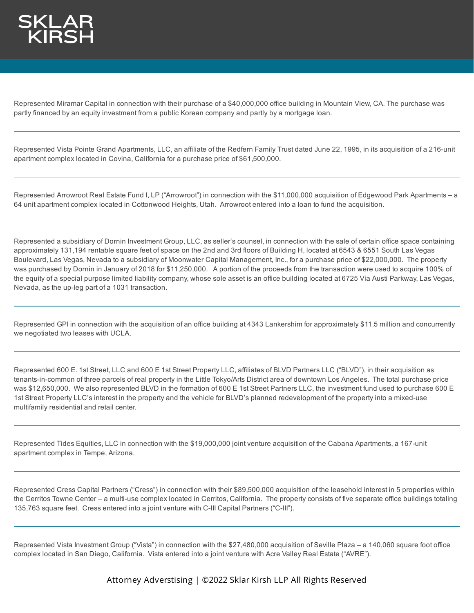

Represented Miramar Capital in connection with their purchase of a \$40,000,000 office building in Mountain View, CA. The purchase was partly financed by an equity investment from a public Korean company and partly by a mortgage loan.

Represented Vista Pointe Grand Apartments, LLC, an affiliate of the Redfern Family Trust dated June 22, 1995, in its acquisition of a 216-unit apartment complex located in Covina, California for a purchase price of \$61,500,000.

Represented Arrowroot Real Estate Fund I, LP ("Arrowroot") in connection with the \$11,000,000 acquisition of Edgewood Park Apartments – a 64 unit apartment complex located in Cottonwood Heights, Utah. Arrowroot entered into a loan to fund the acquisition.

Represented a subsidiary of Dornin Investment Group, LLC, as seller's counsel, in connection with the sale of certain office space containing approximately 131,194 rentable square feet of space on the 2nd and 3rd floors of Building H, located at 6543 & 6551 South Las Vegas Boulevard, Las Vegas, Nevada to a subsidiary of Moonwater Capital Management, Inc., for a purchase price of \$22,000,000. The property was purchased by Dornin in January of 2018 for \$11,250,000. A portion of the proceeds from the transaction were used to acquire 100% of the equity of a special purpose limited liability company, whose sole asset is an office building located at 6725 Via Austi Parkway, Las Vegas, Nevada, as the up-leg part of a 1031 transaction.

Represented GPI in connection with the acquisition of an office building at 4343 Lankershim for approximately \$11.5 million and concurrently we negotiated two leases with UCLA.

Represented 600 E. 1st Street, LLC and 600 E 1st Street Property LLC, affiliates of BLVD Partners LLC ("BLVD"), in their acquisition as tenants-in-common of three parcels of real property in the Little Tokyo/Arts District area of downtown Los Angeles. The total purchase price was \$12,650,000. We also represented BLVD in the formation of 600 E 1st Street Partners LLC, the investment fund used to purchase 600 E 1st Street Property LLC's interest in the property and the vehicle for BLVD's planned redevelopment of the property into a mixed-use multifamily residential and retail center.

Represented Tides Equities, LLC in connection with the \$19,000,000 joint venture acquisition of the Cabana Apartments, a 167-unit apartment complex in Tempe, Arizona.

Represented Cress Capital Partners ("Cress") in connection with their \$89,500,000 acquisition of the leasehold interest in 5 properties within the Cerritos Towne Center – a multi-use complex located in Cerritos, California. The property consists of five separate office buildings totaling 135,763 square feet. Cress entered into a joint venture with C-III Capital Partners ("C-III").

Represented Vista Investment Group ("Vista") in connection with the \$27,480,000 acquisition of Seville Plaza – a 140,060 square foot office complex located in San Diego, California. Vista entered into a joint venture with Acre Valley Real Estate ("AVRE").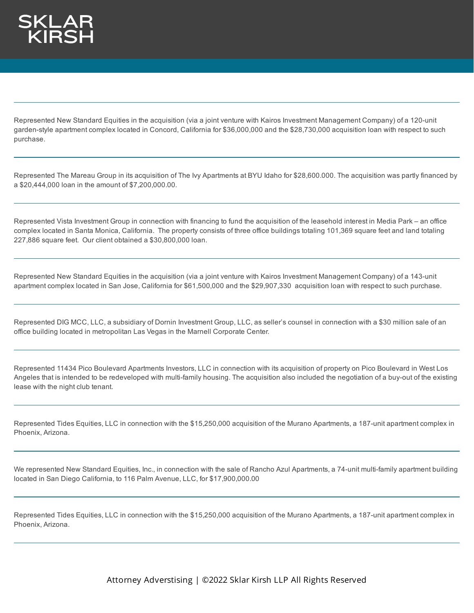

Represented New Standard Equities in the acquisition (via a joint venture with Kairos Investment Management Company) of a 120-unit garden-style apartment complex located in Concord, California for \$36,000,000 and the \$28,730,000 acquisition loan with respect to such purchase.

Represented The Mareau Group in its acquisition of The Ivy Apartments at BYU Idaho for \$28,600.000. The acquisition was partly financed by a \$20,444,000 loan in the amount of \$7,200,000.00.

Represented Vista Investment Group in connection with financing to fund the acquisition of the leasehold interest in Media Park – an office complex located in Santa Monica, California. The property consists of three office buildings totaling 101,369 square feet and land totaling 227,886 square feet. Our client obtained a \$30,800,000 loan.

Represented New Standard Equities in the acquisition (via a joint venture with Kairos Investment Management Company) of a 143-unit apartment complex located in San Jose, California for \$61,500,000 and the \$29,907,330 acquisition loan with respect to such purchase.

Represented DIG MCC, LLC, a subsidiary of Dornin Investment Group, LLC, as seller's counsel in connection with a \$30 million sale of an office building located in metropolitan Las Vegas in the Marnell Corporate Center.

Represented 11434 Pico Boulevard Apartments Investors, LLC in connection with its acquisition of property on Pico Boulevard in West Los Angeles that is intended to be redeveloped with multi-family housing. The acquisition also included the negotiation of a buy-out of the existing lease with the night club tenant.

Represented Tides Equities, LLC in connection with the \$15,250,000 acquisition of the Murano Apartments, a 187-unit apartment complex in Phoenix, Arizona.

We represented New Standard Equities, Inc., in connection with the sale of Rancho Azul Apartments, a 74-unit multi-family apartment building located in San Diego California, to 116 Palm Avenue, LLC, for \$17,900,000.00

Represented Tides Equities, LLC in connection with the \$15,250,000 acquisition of the Murano Apartments, a 187-unit apartment complex in Phoenix, Arizona.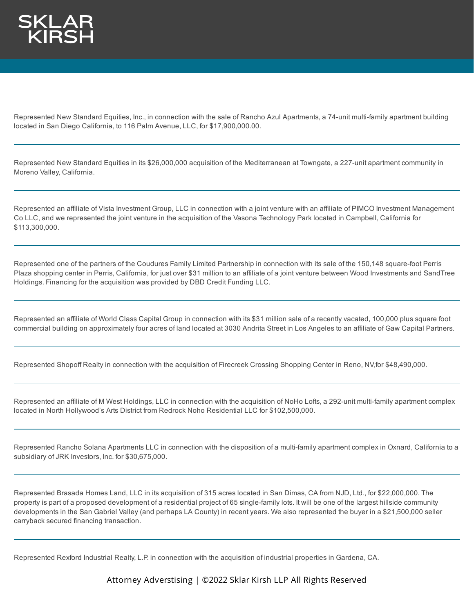Represented New Standard Equities, Inc., in connection with the sale of Rancho Azul Apartments, a 74-unit multi-family apartment building located in San Diego California, to 116 Palm Avenue, LLC, for \$17,900,000.00.

Represented New Standard Equities in its \$26,000,000 acquisition of the Mediterranean at Towngate, a 227-unit apartment community in Moreno Valley, California.

Represented an affiliate of Vista Investment Group, LLC in connection with a joint venture with an affiliate of PIMCO Investment Management Co LLC, and we represented the joint venture in the acquisition of the Vasona Technology Park located in Campbell, California for \$113,300,000.

Represented one of the partners of the Coudures Family Limited Partnership in connection with its sale of the 150,148 square-foot Perris Plaza shopping center in Perris, California, for just over \$31 million to an affiliate of a joint venture between Wood Investments and SandTree Holdings. Financing for the acquisition was provided by DBD Credit Funding LLC.

Represented an affiliate of World Class Capital Group in connection with its \$31 million sale of a recently vacated, 100,000 plus square foot commercial building on approximately four acres of land located at 3030 Andrita Street in Los Angeles to an affiliate of Gaw Capital Partners.

Represented Shopoff Realty in connection with the acquisition of Firecreek Crossing Shopping Center in Reno, NV,for \$48,490,000.

Represented an affiliate of M West Holdings, LLC in connection with the acquisition of NoHo Lofts, a 292-unit multi-family apartment complex located in North Hollywood's Arts District from Redrock Noho Residential LLC for \$102,500,000.

Represented Rancho Solana Apartments LLC in connection with the disposition of a multi-family apartment complex in Oxnard, California to a subsidiary of JRK Investors, Inc. for \$30,675,000.

Represented Brasada Homes Land, LLC in its acquisition of 315 acres located in San Dimas, CA from NJD, Ltd., for \$22,000,000. The property is part of a proposed development of a residential project of 65 single-family lots. It will be one of the largest hillside community developments in the San Gabriel Valley (and perhaps LA County) in recent years. We also represented the buyer in a \$21,500,000 seller carryback secured financing transaction.

Represented Rexford Industrial Realty, L.P. in connection with the acquisition of industrial properties in Gardena, CA.

Attorney Adverstising | ©2022 Sklar Kirsh LLP All Rights Reserved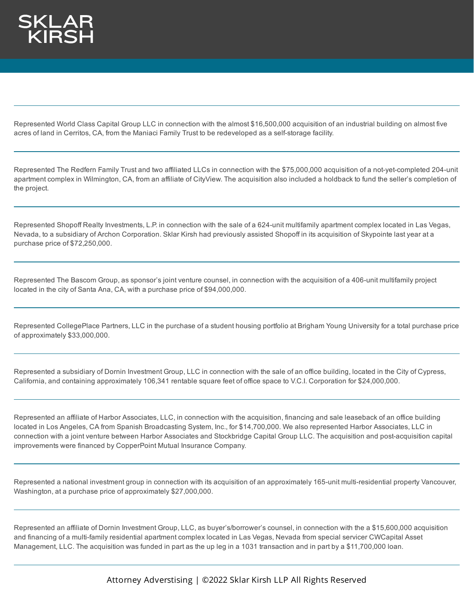Represented World Class Capital Group LLC in connection with the almost \$16,500,000 acquisition of an industrial building on almost five acres of land in Cerritos, CA, from the Maniaci Family Trust to be redeveloped as a self-storage facility.

Represented The Redfern Family Trust and two affiliated LLCs in connection with the \$75,000,000 acquisition of a not-yet-completed 204-unit apartment complex in Wilmington, CA, from an affiliate of CityView. The acquisition also included a holdback to fund the seller's completion of the project.

Represented Shopoff Realty Investments, L.P. in connection with the sale of a 624-unit multifamily apartment complex located in Las Vegas, Nevada, to a subsidiary of Archon Corporation. Sklar Kirsh had previously assisted Shopoff in its acquisition of Skypointe last year at a purchase price of \$72,250,000.

Represented The Bascom Group, as sponsor's joint venture counsel, in connection with the acquisition of a 406-unit multifamily project located in the city of Santa Ana, CA, with a purchase price of \$94,000,000.

Represented CollegePlace Partners, LLC in the purchase of a student housing portfolio at Brigham Young University for a total purchase price of approximately \$33,000,000.

Represented a subsidiary of Dornin Investment Group, LLC in connection with the sale of an office building, located in the City of Cypress, California, and containing approximately 106,341 rentable square feet of office space to V.C.I. Corporation for \$24,000,000.

Represented an affiliate of Harbor Associates, LLC, in connection with the acquisition, financing and sale leaseback of an office building located in Los Angeles, CA from Spanish Broadcasting System, Inc., for \$14,700,000. We also represented Harbor Associates, LLC in connection with a joint venture between Harbor Associates and Stockbridge Capital Group LLC. The acquisition and post-acquisition capital improvements were financed by CopperPoint Mutual Insurance Company.

Represented a national investment group in connection with its acquisition of an approximately 165-unit multi-residential property Vancouver, Washington, at a purchase price of approximately \$27,000,000.

Represented an affiliate of Dornin Investment Group, LLC, as buyer's/borrower's counsel, in connection with the a \$15,600,000 acquisition and financing of a multi-family residential apartment complex located in Las Vegas, Nevada from special servicer CWCapital Asset Management, LLC. The acquisition was funded in part as the up leg in a 1031 transaction and in part by a \$11,700,000 loan.